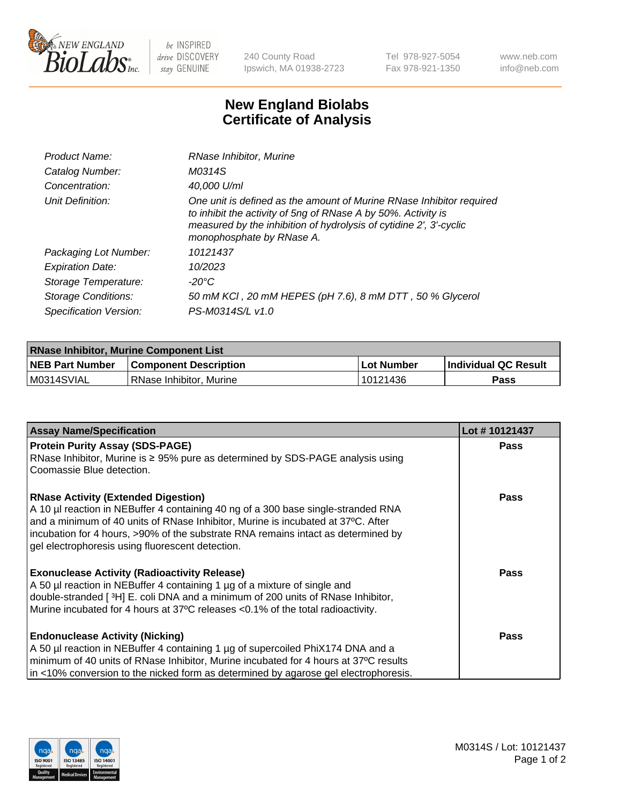

 $be$  INSPIRED drive DISCOVERY stay GENUINE

240 County Road Ipswich, MA 01938-2723 Tel 978-927-5054 Fax 978-921-1350 www.neb.com info@neb.com

## **New England Biolabs Certificate of Analysis**

| Product Name:           | RNase Inhibitor, Murine                                                                                                                                                                                                                  |
|-------------------------|------------------------------------------------------------------------------------------------------------------------------------------------------------------------------------------------------------------------------------------|
| Catalog Number:         | M0314S                                                                                                                                                                                                                                   |
| Concentration:          | 40,000 U/ml                                                                                                                                                                                                                              |
| Unit Definition:        | One unit is defined as the amount of Murine RNase Inhibitor required<br>to inhibit the activity of 5ng of RNase A by 50%. Activity is<br>measured by the inhibition of hydrolysis of cytidine 2', 3'-cyclic<br>monophosphate by RNase A. |
| Packaging Lot Number:   | 10121437                                                                                                                                                                                                                                 |
| <b>Expiration Date:</b> | 10/2023                                                                                                                                                                                                                                  |
| Storage Temperature:    | -20°C                                                                                                                                                                                                                                    |
| Storage Conditions:     | 50 mM KCI, 20 mM HEPES (pH 7.6), 8 mM DTT, 50 % Glycerol                                                                                                                                                                                 |
| Specification Version:  | PS-M0314S/L v1.0                                                                                                                                                                                                                         |

| <b>RNase Inhibitor, Murine Component List</b> |                              |            |                             |  |
|-----------------------------------------------|------------------------------|------------|-----------------------------|--|
| <b>NEB Part Number</b>                        | <b>Component Description</b> | Lot Number | <b>Individual QC Result</b> |  |
| M0314SVIAL                                    | l RNase Inhibitor. Murine    | 10121436   | Pass                        |  |

| <b>Assay Name/Specification</b>                                                                                                                                                                                                                                                                                                                              | Lot #10121437 |
|--------------------------------------------------------------------------------------------------------------------------------------------------------------------------------------------------------------------------------------------------------------------------------------------------------------------------------------------------------------|---------------|
| <b>Protein Purity Assay (SDS-PAGE)</b>                                                                                                                                                                                                                                                                                                                       | <b>Pass</b>   |
| RNase Inhibitor, Murine is ≥ 95% pure as determined by SDS-PAGE analysis using<br>Coomassie Blue detection.                                                                                                                                                                                                                                                  |               |
| <b>RNase Activity (Extended Digestion)</b><br>A 10 µl reaction in NEBuffer 4 containing 40 ng of a 300 base single-stranded RNA<br>and a minimum of 40 units of RNase Inhibitor, Murine is incubated at 37°C. After<br>incubation for 4 hours, >90% of the substrate RNA remains intact as determined by<br>gel electrophoresis using fluorescent detection. | <b>Pass</b>   |
| <b>Exonuclease Activity (Radioactivity Release)</b><br>A 50 µl reaction in NEBuffer 4 containing 1 µg of a mixture of single and<br>double-stranded [3H] E. coli DNA and a minimum of 200 units of RNase Inhibitor,<br>Murine incubated for 4 hours at 37°C releases <0.1% of the total radioactivity.                                                       | <b>Pass</b>   |
| <b>Endonuclease Activity (Nicking)</b><br>A 50 µl reaction in NEBuffer 4 containing 1 µg of supercoiled PhiX174 DNA and a<br>minimum of 40 units of RNase Inhibitor, Murine incubated for 4 hours at 37°C results<br>in <10% conversion to the nicked form as determined by agarose gel electrophoresis.                                                     | <b>Pass</b>   |